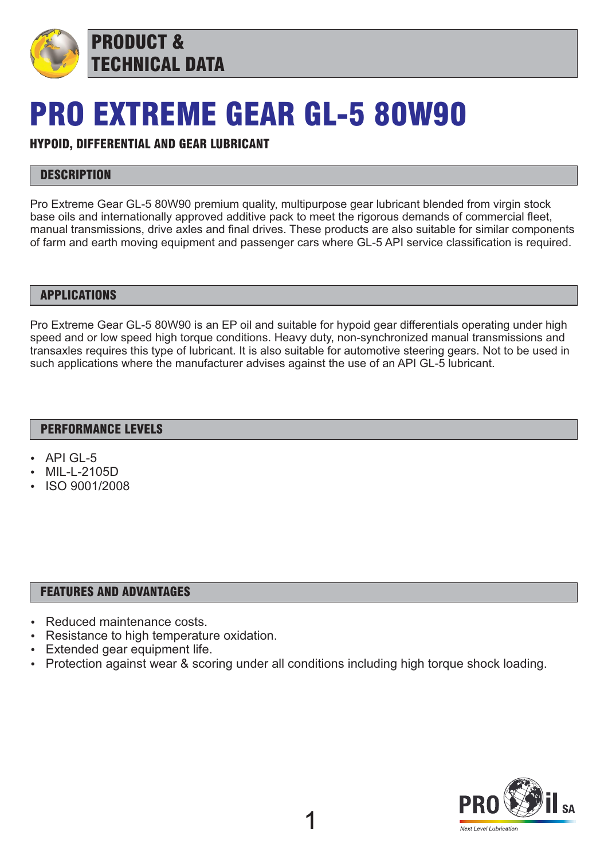

## PRO EXTREME GEAR GL-5 80W90

## HYPOID, DIFFERENTIAL AND GEAR LUBRICANT

## **DESCRIPTION**

Pro Extreme Gear GL-5 80W90 premium quality, multipurpose gear lubricant blended from virgin stock base oils and internationally approved additive pack to meet the rigorous demands of commercial fleet, manual transmissions, drive axles and final drives. These products are also suitable for similar components of farm and earth moving equipment and passenger cars where GL-5 API service classification is required.

#### APPLICATIONS

Pro Extreme Gear GL-5 80W90 is an EP oil and suitable for hypoid gear differentials operating under high speed and or low speed high torque conditions. Heavy duty, non-synchronized manual transmissions and transaxles requires this type of lubricant. It is also suitable for automotive steering gears. Not to be used in such applications where the manufacturer advises against the use of an API GL-5 lubricant.

#### PERFORMANCE LEVELS

- API GL-5
- MIL-L-2105D
- ISO 9001/2008

#### FEATURES AND ADVANTAGES

- Reduced maintenance costs.
- Resistance to high temperature oxidation.
- Extended gear equipment life.
- Protection against wear & scoring under all conditions including high torque shock loading.

1